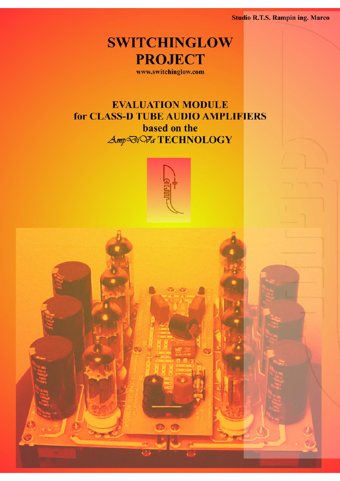**Studio R.T.S. Rampin ing. Marco** 



www.switchinglow.com

# **EVALUATION MODULE** for CLASS-D TUBE AUDIO AMPLIFIERS based on the Amp<sup></sup> *Mi Va* TECHNOLOGY



 $\circ$   $\circ$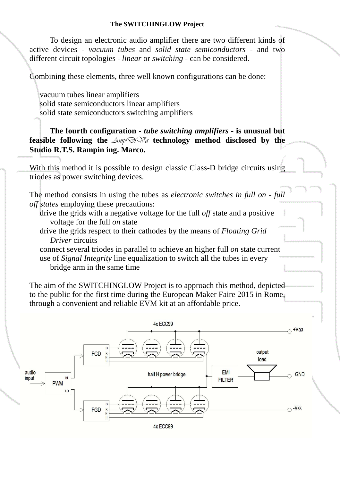#### **The SWITCHINGLOW Project**

To design an electronic audio amplifier there are two different kinds of active devices - *vacuum tubes* and *solid state semiconductors* - and two different circuit topologies - *linear* or *switching* - can be considered.

Combining these elements, three well known configurations can be done:

vacuum tubes linear amplifiers solid state semiconductors linear amplifiers solid state semiconductors switching amplifiers

**The fourth configuration -** *tube switching amplifiers* **- is unusual but feasible following the**  $\Delta m \bar{p} \bar{\omega}$   $\bar{\omega}$  technology method disclosed by the **Studio R.T.S. Rampin ing. Marco.**

With this method it is possible to design classic Class-D bridge circuits using triodes as power switching devices.

The method consists in using the tubes as *electronic switches in full on - full off states* employing these precautions:

drive the grids with a negative voltage for the full *off* state and a positive voltage for the full *on* state

drive the grids respect to their cathodes by the means of *Floating Grid Driver* circuits

connect several triodes in parallel to achieve an higher full *on* state current use of *Signal Integrity* line equalization to switch all the tubes in every bridge arm in the same time

The aim of the SWITCHINGLOW Project is to approach this method, depicted to the public for the first time during the European Maker Faire 2015 in Rome, through a convenient and reliable EVM kit at an affordable price.

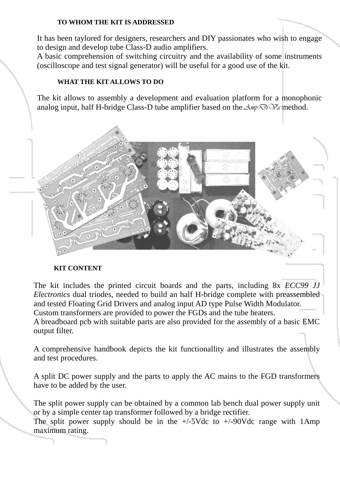### **TO WHOM THE KIT IS ADDRESSED**

It has been taylored for designers, researchers and DIY passionates who wish to engage to design and develop tube Class-D audio amplifiers.

A basic comprehension of switching circuitry and the availability of some instruments (oscilloscope and test signal generator) will be useful for a good use of the kit.

## **WHAT THE KIT ALLOWS TO DO**

The kit allows to assembly a development and evaluation platform for a monophonic analog input, half H-bridge Class-D tube amplifier based on the  $\Delta m \partial v \partial r \partial \bar{\partial} \phi$  method.



## **KIT CONTENT**

The kit includes the printed circuit boards and the parts, including 8x *ECC99 JJ Electronics* dual triodes, needed to build an half H-bridge complete with preassembled and tested Floating Grid Drivers and analog input AD type Pulse Width Modulator. Custom transformers are provided to power the FGDs and the tube heaters. A breadboard pcb with suitable parts are also provided for the assembly of a basic EMC output filter.

A comprehensive handbook depicts the kit functionallity and illustrates the assembly and test procedures.

A split DC power supply and the parts to apply the AC mains to the FGD transformers have to be added by the user.

The split power supply can be obtained by a common lab bench dual power supply unit or by a simple center tap transformer followed by a bridge rectifier.

The split power supply should be in the  $+/-5$ Vdc to  $+/-90$ Vdc range with 1Amp maximum rating.